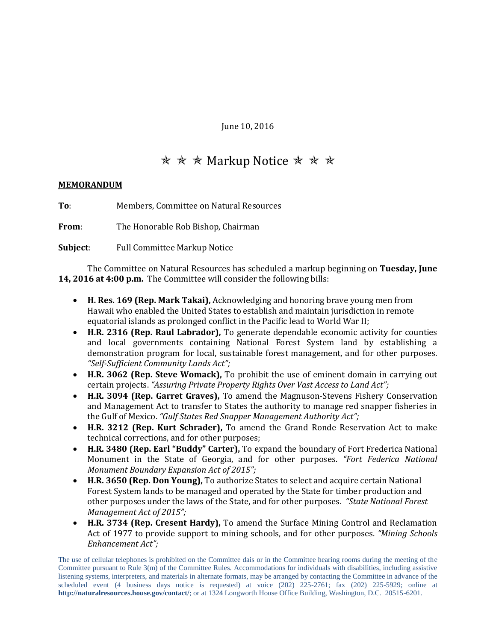June 10, 2016

## **★ ★ ★ Markup Notice ★ ★ ★**

## **MEMORANDUM**

**To**: Members, Committee on Natural Resources

**From**: The Honorable Rob Bishop, Chairman

**Subject**: Full Committee Markup Notice

The Committee on Natural Resources has scheduled a markup beginning on **Tuesday, June 14, 2016 at 4:00 p.m.** The Committee will consider the following bills:

- **H. Res. 169 (Rep. Mark Takai),** Acknowledging and honoring brave young men from Hawaii who enabled the United States to establish and maintain jurisdiction in remote equatorial islands as prolonged conflict in the Pacific lead to World War II;
- **H.R. 2316 (Rep. Raul Labrador),** To generate dependable economic activity for counties and local governments containing National Forest System land by establishing a demonstration program for local, sustainable forest management, and for other purposes. *"Self-Sufficient Community Lands Act";*
- **H.R. 3062 (Rep. Steve Womack),** To prohibit the use of eminent domain in carrying out certain projects. *"Assuring Private Property Rights Over Vast Access to Land Act";*
- **H.R. 3094 (Rep. Garret Graves),** To amend the Magnuson-Stevens Fishery Conservation and Management Act to transfer to States the authority to manage red snapper fisheries in the Gulf of Mexico. *"Gulf States Red Snapper Management Authority Act";*
- **H.R. 3212 (Rep. Kurt Schrader),** To amend the Grand Ronde Reservation Act to make technical corrections, and for other purposes;
- **H.R. 3480 (Rep. Earl "Buddy" Carter),** To expand the boundary of Fort Frederica National Monument in the State of Georgia, and for other purposes. *"Fort Federica National Monument Boundary Expansion Act of 2015";*
- **H.R. 3650 (Rep. Don Young),** To authorize States to select and acquire certain National Forest System lands to be managed and operated by the State for timber production and other purposes under the laws of the State, and for other purposes. *"State National Forest Management Act of 2015";*
- **H.R. 3734 (Rep. Cresent Hardy),** To amend the Surface Mining Control and Reclamation Act of 1977 to provide support to mining schools, and for other purposes. *"Mining Schools Enhancement Act";*

The use of cellular telephones is prohibited on the Committee dais or in the Committee hearing rooms during the meeting of the Committee pursuant to Rule 3(m) of the Committee Rules. Accommodations for individuals with disabilities, including assistive listening systems, interpreters, and materials in alternate formats, may be arranged by contacting the Committee in advance of the scheduled event (4 business days notice is requested) at voice (202) 225-2761; fax (202) 225-5929; online at **http://naturalresources.house.gov/contact/**; or at 1324 Longworth House Office Building, Washington, D.C. 20515-6201.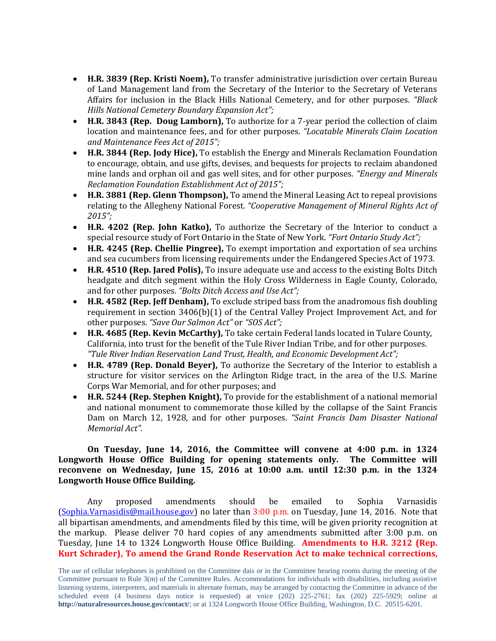- **H.R. 3839 (Rep. Kristi Noem),** To transfer administrative jurisdiction over certain Bureau of Land Management land from the Secretary of the Interior to the Secretary of Veterans Affairs for inclusion in the Black Hills National Cemetery, and for other purposes. *"Black Hills National Cemetery Boundary Expansion Act";*
- **H.R. 3843 (Rep. Doug Lamborn),** To authorize for a 7-year period the collection of claim location and maintenance fees, and for other purposes. *"Locatable Minerals Claim Location and Maintenance Fees Act of 2015";*
- **H.R. 3844 (Rep. Jody Hice),** To establish the Energy and Minerals Reclamation Foundation to encourage, obtain, and use gifts, devises, and bequests for projects to reclaim abandoned mine lands and orphan oil and gas well sites, and for other purposes. *"Energy and Minerals Reclamation Foundation Establishment Act of 2015";*
- **H.R. 3881 (Rep. Glenn Thompson),** To amend the Mineral Leasing Act to repeal provisions relating to the Allegheny National Forest. *"Cooperative Management of Mineral Rights Act of 2015";*
- **H.R. 4202 (Rep. John Katko),** To authorize the Secretary of the Interior to conduct a special resource study of Fort Ontario in the State of New York. *"Fort Ontario Study Act";*
- **H.R. 4245 (Rep. Chellie Pingree),** To exempt importation and exportation of sea urchins and sea cucumbers from licensing requirements under the Endangered Species Act of 1973.
- **H.R. 4510 (Rep. Jared Polis),** To insure adequate use and access to the existing Bolts Ditch headgate and ditch segment within the Holy Cross Wilderness in Eagle County, Colorado, and for other purposes. *"Bolts Ditch Access and Use Act";*
- **H.R. 4582 (Rep. Jeff Denham),** To exclude striped bass from the anadromous fish doubling requirement in section 3406(b)(1) of the Central Valley Project Improvement Act, and for other purposes. *"Save Our Salmon Act"* or *"SOS Act";*
- **H.R. 4685 (Rep. Kevin McCarthy),** To take certain Federal lands located in Tulare County, California, into trust for the benefit of the Tule River Indian Tribe, and for other purposes. *"Tule River Indian Reservation Land Trust, Health, and Economic Development Act";*
- **H.R. 4789 (Rep. Donald Beyer),** To authorize the Secretary of the Interior to establish a structure for visitor services on the Arlington Ridge tract, in the area of the U.S. Marine Corps War Memorial, and for other purposes; and
- **H.R. 5244 (Rep. Stephen Knight),** To provide for the establishment of a national memorial and national monument to commemorate those killed by the collapse of the Saint Francis Dam on March 12, 1928, and for other purposes. *"Saint Francis Dam Disaster National Memorial Act".*

## **On Tuesday, June 14, 2016, the Committee will convene at 4:00 p.m. in 1324 Longworth House Office Building for opening statements only. The Committee will reconvene on Wednesday, June 15, 2016 at 10:00 a.m. until 12:30 p.m. in the 1324 Longworth House Office Building.**

Any proposed amendments should be emailed to Sophia Varnasidis [\(Sophia.Varnasidis@mail.house.gov\)](mailto:Sophia.Varnasidis@mail.house.gov) no later than 3:00 p.m. on Tuesday, June 14, 2016. Note that all bipartisan amendments, and amendments filed by this time, will be given priority recognition at the markup. Please deliver 70 hard copies of any amendments submitted after 3:00 p.m. on Tuesday, June 14 to 1324 Longworth House Office Building. **Amendments to H.R. 3212 (Rep. Kurt Schrader), To amend the Grand Ronde Reservation Act to make technical corrections,** 

The use of cellular telephones is prohibited on the Committee dais or in the Committee hearing rooms during the meeting of the Committee pursuant to Rule 3(m) of the Committee Rules. Accommodations for individuals with disabilities, including assistive listening systems, interpreters, and materials in alternate formats, may be arranged by contacting the Committee in advance of the scheduled event (4 business days notice is requested) at voice (202) 225-2761; fax (202) 225-5929; online at **http://naturalresources.house.gov/contact/**; or at 1324 Longworth House Office Building, Washington, D.C. 20515-6201.